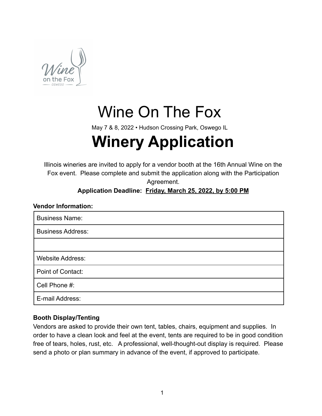

# Wine On The Fox

May 7 & 8, 2022 • Hudson Crossing Park, Oswego IL

# **Winery Application**

Illinois wineries are invited to apply for a vendor booth at the 16th Annual Wine on the Fox event. Please complete and submit the application along with the Participation Agreement.

# **Application Deadline: Friday, March 25, 2022, by 5:00 PM**

# **Vendor Information:** Business Name: Business Address:

Website Address:

Point of Contact:

Cell Phone #:

E-mail Address:

# **Booth Display/Tenting**

Vendors are asked to provide their own tent, tables, chairs, equipment and supplies. In order to have a clean look and feel at the event, tents are required to be in good condition free of tears, holes, rust, etc. A professional, well-thought-out display is required. Please send a photo or plan summary in advance of the event, if approved to participate.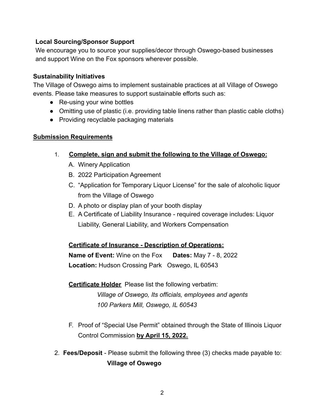#### **Local Sourcing/Sponsor Support**

We encourage you to source your supplies/decor through Oswego-based businesses and support Wine on the Fox sponsors wherever possible.

#### **Sustainability Initiatives**

The Village of Oswego aims to implement sustainable practices at all Village of Oswego events. Please take measures to support sustainable efforts such as:

- Re-using your wine bottles
- Omitting use of plastic (i.e. providing table linens rather than plastic cable cloths)
- Providing recyclable packaging materials

#### **Submission Requirements**

- 1. **Complete, sign and submit the following to the Village of Oswego:**
	- A. Winery Application
	- B. 2022 Participation Agreement
	- C. "Application for Temporary Liquor License" for the sale of alcoholic liquor from the Village of Oswego
	- D. A photo or display plan of your booth display
	- E. A Certificate of Liability Insurance required coverage includes: Liquor Liability, General Liability, and Workers Compensation

#### **Certificate of Insurance - Description of Operations:**

**Name of Event:** Wine on the Fox **Dates:** May 7 - 8, 2022 **Location:** Hudson Crossing Park Oswego, IL 60543

**Certificate Holder** Please list the following verbatim: *Village of Oswego, Its officials, employees and agents 100 Parkers Mill, Oswego, IL 60543*

- F. Proof of "Special Use Permit" obtained through the State of Illinois Liquor Control Commission **by April 15, 2022.**
- 2. **Fees/Deposit** Please submit the following three (3) checks made payable to: **Village of Oswego**